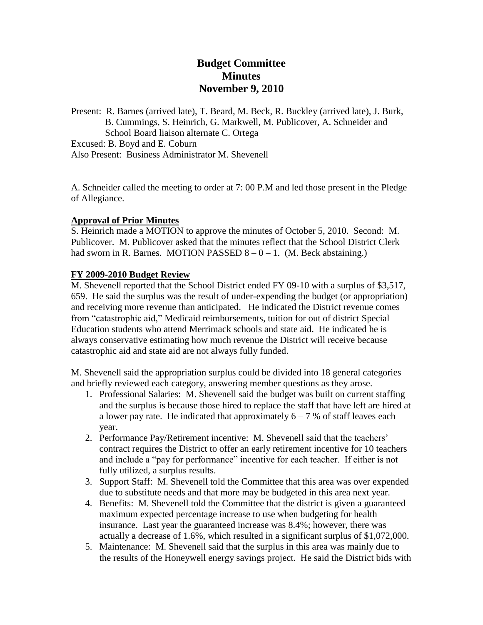# **Budget Committee Minutes November 9, 2010**

Present: R. Barnes (arrived late), T. Beard, M. Beck, R. Buckley (arrived late), J. Burk, B. Cummings, S. Heinrich, G. Markwell, M. Publicover, A. Schneider and School Board liaison alternate C. Ortega Excused: B. Boyd and E. Coburn

Also Present: Business Administrator M. Shevenell

A. Schneider called the meeting to order at 7: 00 P.M and led those present in the Pledge of Allegiance.

#### **Approval of Prior Minutes**

S. Heinrich made a MOTION to approve the minutes of October 5, 2010. Second: M. Publicover. M. Publicover asked that the minutes reflect that the School District Clerk had sworn in R. Barnes. MOTION PASSED  $8 - 0 - 1$ . (M. Beck abstaining.)

#### **FY 2009-2010 Budget Review**

M. Shevenell reported that the School District ended FY 09-10 with a surplus of \$3,517, 659. He said the surplus was the result of under-expending the budget (or appropriation) and receiving more revenue than anticipated. He indicated the District revenue comes from "catastrophic aid," Medicaid reimbursements, tuition for out of district Special Education students who attend Merrimack schools and state aid. He indicated he is always conservative estimating how much revenue the District will receive because catastrophic aid and state aid are not always fully funded.

M. Shevenell said the appropriation surplus could be divided into 18 general categories and briefly reviewed each category, answering member questions as they arose.

- 1. Professional Salaries: M. Shevenell said the budget was built on current staffing and the surplus is because those hired to replace the staff that have left are hired at a lower pay rate. He indicated that approximately  $6 - 7$  % of staff leaves each year.
- 2. Performance Pay/Retirement incentive: M. Shevenell said that the teachers' contract requires the District to offer an early retirement incentive for 10 teachers and include a "pay for performance" incentive for each teacher. If either is not fully utilized, a surplus results.
- 3. Support Staff: M. Shevenell told the Committee that this area was over expended due to substitute needs and that more may be budgeted in this area next year.
- 4. Benefits: M. Shevenell told the Committee that the district is given a guaranteed maximum expected percentage increase to use when budgeting for health insurance. Last year the guaranteed increase was 8.4%; however, there was actually a decrease of 1.6%, which resulted in a significant surplus of \$1,072,000.
- 5. Maintenance: M. Shevenell said that the surplus in this area was mainly due to the results of the Honeywell energy savings project. He said the District bids with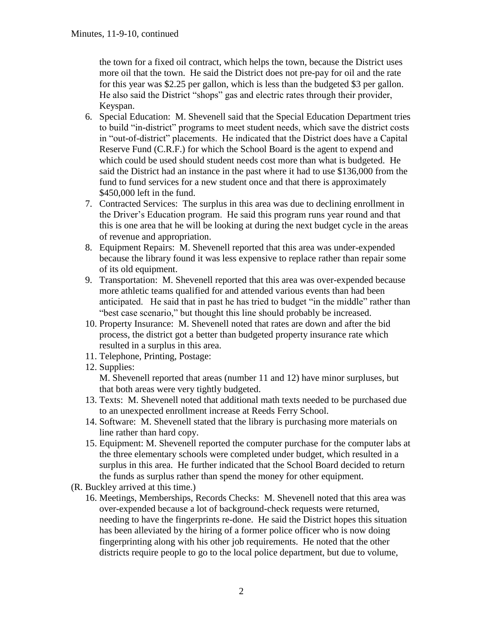the town for a fixed oil contract, which helps the town, because the District uses more oil that the town. He said the District does not pre-pay for oil and the rate for this year was \$2.25 per gallon, which is less than the budgeted \$3 per gallon. He also said the District "shops" gas and electric rates through their provider, Keyspan.

- 6. Special Education: M. Shevenell said that the Special Education Department tries to build "in-district" programs to meet student needs, which save the district costs in "out-of-district" placements. He indicated that the District does have a Capital Reserve Fund (C.R.F.) for which the School Board is the agent to expend and which could be used should student needs cost more than what is budgeted. He said the District had an instance in the past where it had to use \$136,000 from the fund to fund services for a new student once and that there is approximately \$450,000 left in the fund.
- 7. Contracted Services: The surplus in this area was due to declining enrollment in the Driver's Education program. He said this program runs year round and that this is one area that he will be looking at during the next budget cycle in the areas of revenue and appropriation.
- 8. Equipment Repairs: M. Shevenell reported that this area was under-expended because the library found it was less expensive to replace rather than repair some of its old equipment.
- 9. Transportation: M. Shevenell reported that this area was over-expended because more athletic teams qualified for and attended various events than had been anticipated. He said that in past he has tried to budget "in the middle" rather than "best case scenario," but thought this line should probably be increased.
- 10. Property Insurance: M. Shevenell noted that rates are down and after the bid process, the district got a better than budgeted property insurance rate which resulted in a surplus in this area.
- 11. Telephone, Printing, Postage:
- 12. Supplies:

M. Shevenell reported that areas (number 11 and 12) have minor surpluses, but that both areas were very tightly budgeted.

- 13. Texts: M. Shevenell noted that additional math texts needed to be purchased due to an unexpected enrollment increase at Reeds Ferry School.
- 14. Software: M. Shevenell stated that the library is purchasing more materials on line rather than hard copy.
- 15. Equipment: M. Shevenell reported the computer purchase for the computer labs at the three elementary schools were completed under budget, which resulted in a surplus in this area. He further indicated that the School Board decided to return the funds as surplus rather than spend the money for other equipment.
- (R. Buckley arrived at this time.)
	- 16. Meetings, Memberships, Records Checks: M. Shevenell noted that this area was over-expended because a lot of background-check requests were returned, needing to have the fingerprints re-done. He said the District hopes this situation has been alleviated by the hiring of a former police officer who is now doing fingerprinting along with his other job requirements. He noted that the other districts require people to go to the local police department, but due to volume,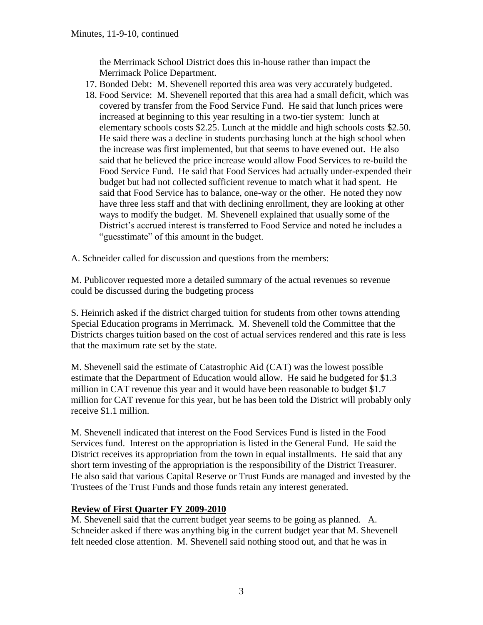the Merrimack School District does this in-house rather than impact the Merrimack Police Department.

- 17. Bonded Debt: M. Shevenell reported this area was very accurately budgeted.
- 18. Food Service: M. Shevenell reported that this area had a small deficit, which was covered by transfer from the Food Service Fund. He said that lunch prices were increased at beginning to this year resulting in a two-tier system: lunch at elementary schools costs \$2.25. Lunch at the middle and high schools costs \$2.50. He said there was a decline in students purchasing lunch at the high school when the increase was first implemented, but that seems to have evened out. He also said that he believed the price increase would allow Food Services to re-build the Food Service Fund. He said that Food Services had actually under-expended their budget but had not collected sufficient revenue to match what it had spent. He said that Food Service has to balance, one-way or the other. He noted they now have three less staff and that with declining enrollment, they are looking at other ways to modify the budget. M. Shevenell explained that usually some of the District's accrued interest is transferred to Food Service and noted he includes a "guesstimate" of this amount in the budget.
- A. Schneider called for discussion and questions from the members:

M. Publicover requested more a detailed summary of the actual revenues so revenue could be discussed during the budgeting process

S. Heinrich asked if the district charged tuition for students from other towns attending Special Education programs in Merrimack. M. Shevenell told the Committee that the Districts charges tuition based on the cost of actual services rendered and this rate is less that the maximum rate set by the state.

M. Shevenell said the estimate of Catastrophic Aid (CAT) was the lowest possible estimate that the Department of Education would allow. He said he budgeted for \$1.3 million in CAT revenue this year and it would have been reasonable to budget \$1.7 million for CAT revenue for this year, but he has been told the District will probably only receive \$1.1 million.

M. Shevenell indicated that interest on the Food Services Fund is listed in the Food Services fund. Interest on the appropriation is listed in the General Fund. He said the District receives its appropriation from the town in equal installments. He said that any short term investing of the appropriation is the responsibility of the District Treasurer. He also said that various Capital Reserve or Trust Funds are managed and invested by the Trustees of the Trust Funds and those funds retain any interest generated.

#### **Review of First Quarter FY 2009-2010**

M. Shevenell said that the current budget year seems to be going as planned. A. Schneider asked if there was anything big in the current budget year that M. Shevenell felt needed close attention. M. Shevenell said nothing stood out, and that he was in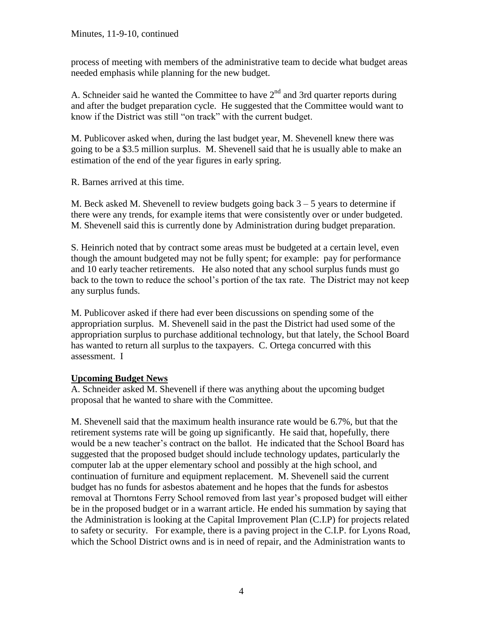process of meeting with members of the administrative team to decide what budget areas needed emphasis while planning for the new budget.

A. Schneider said he wanted the Committee to have  $2<sup>nd</sup>$  and 3rd quarter reports during and after the budget preparation cycle. He suggested that the Committee would want to know if the District was still "on track" with the current budget.

M. Publicover asked when, during the last budget year, M. Shevenell knew there was going to be a \$3.5 million surplus. M. Shevenell said that he is usually able to make an estimation of the end of the year figures in early spring.

R. Barnes arrived at this time.

M. Beck asked M. Shevenell to review budgets going back  $3 - 5$  years to determine if there were any trends, for example items that were consistently over or under budgeted. M. Shevenell said this is currently done by Administration during budget preparation.

S. Heinrich noted that by contract some areas must be budgeted at a certain level, even though the amount budgeted may not be fully spent; for example: pay for performance and 10 early teacher retirements. He also noted that any school surplus funds must go back to the town to reduce the school's portion of the tax rate. The District may not keep any surplus funds.

M. Publicover asked if there had ever been discussions on spending some of the appropriation surplus. M. Shevenell said in the past the District had used some of the appropriation surplus to purchase additional technology, but that lately, the School Board has wanted to return all surplus to the taxpayers. C. Ortega concurred with this assessment. I

#### **Upcoming Budget News**

A. Schneider asked M. Shevenell if there was anything about the upcoming budget proposal that he wanted to share with the Committee.

M. Shevenell said that the maximum health insurance rate would be 6.7%, but that the retirement systems rate will be going up significantly. He said that, hopefully, there would be a new teacher's contract on the ballot. He indicated that the School Board has suggested that the proposed budget should include technology updates, particularly the computer lab at the upper elementary school and possibly at the high school, and continuation of furniture and equipment replacement. M. Shevenell said the current budget has no funds for asbestos abatement and he hopes that the funds for asbestos removal at Thorntons Ferry School removed from last year's proposed budget will either be in the proposed budget or in a warrant article. He ended his summation by saying that the Administration is looking at the Capital Improvement Plan (C.I.P) for projects related to safety or security. For example, there is a paving project in the C.I.P. for Lyons Road, which the School District owns and is in need of repair, and the Administration wants to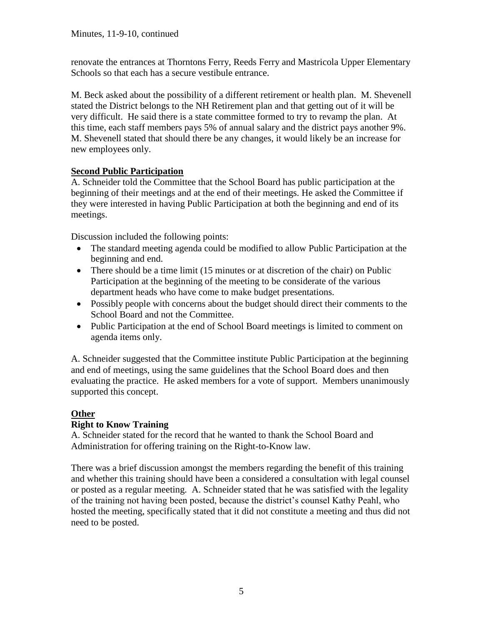renovate the entrances at Thorntons Ferry, Reeds Ferry and Mastricola Upper Elementary Schools so that each has a secure vestibule entrance.

M. Beck asked about the possibility of a different retirement or health plan. M. Shevenell stated the District belongs to the NH Retirement plan and that getting out of it will be very difficult. He said there is a state committee formed to try to revamp the plan. At this time, each staff members pays 5% of annual salary and the district pays another 9%. M. Shevenell stated that should there be any changes, it would likely be an increase for new employees only.

### **Second Public Participation**

A. Schneider told the Committee that the School Board has public participation at the beginning of their meetings and at the end of their meetings. He asked the Committee if they were interested in having Public Participation at both the beginning and end of its meetings.

Discussion included the following points:

- The standard meeting agenda could be modified to allow Public Participation at the beginning and end.
- There should be a time limit (15 minutes or at discretion of the chair) on Public Participation at the beginning of the meeting to be considerate of the various department heads who have come to make budget presentations.
- Possibly people with concerns about the budget should direct their comments to the School Board and not the Committee.
- Public Participation at the end of School Board meetings is limited to comment on agenda items only.

A. Schneider suggested that the Committee institute Public Participation at the beginning and end of meetings, using the same guidelines that the School Board does and then evaluating the practice. He asked members for a vote of support. Members unanimously supported this concept.

# **Other**

## **Right to Know Training**

A. Schneider stated for the record that he wanted to thank the School Board and Administration for offering training on the Right-to-Know law.

There was a brief discussion amongst the members regarding the benefit of this training and whether this training should have been a considered a consultation with legal counsel or posted as a regular meeting. A. Schneider stated that he was satisfied with the legality of the training not having been posted, because the district's counsel Kathy Peahl, who hosted the meeting, specifically stated that it did not constitute a meeting and thus did not need to be posted.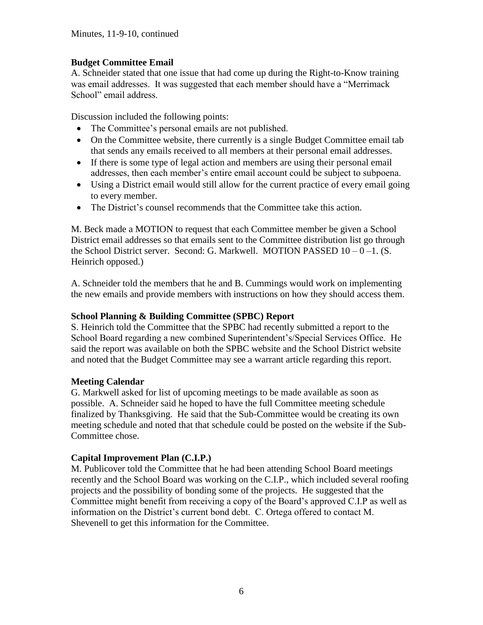### **Budget Committee Email**

A. Schneider stated that one issue that had come up during the Right-to-Know training was email addresses. It was suggested that each member should have a "Merrimack School" email address.

Discussion included the following points:

- The Committee's personal emails are not published.
- On the Committee website, there currently is a single Budget Committee email tab that sends any emails received to all members at their personal email addresses.
- If there is some type of legal action and members are using their personal email addresses, then each member's entire email account could be subject to subpoena.
- Using a District email would still allow for the current practice of every email going to every member.
- The District's counsel recommends that the Committee take this action.

M. Beck made a MOTION to request that each Committee member be given a School District email addresses so that emails sent to the Committee distribution list go through the School District server. Second: G. Markwell. MOTION PASSED  $10 - 0 - 1$ . (S. Heinrich opposed.)

A. Schneider told the members that he and B. Cummings would work on implementing the new emails and provide members with instructions on how they should access them.

### **School Planning & Building Committee (SPBC) Report**

S. Heinrich told the Committee that the SPBC had recently submitted a report to the School Board regarding a new combined Superintendent's/Special Services Office. He said the report was available on both the SPBC website and the School District website and noted that the Budget Committee may see a warrant article regarding this report.

#### **Meeting Calendar**

G. Markwell asked for list of upcoming meetings to be made available as soon as possible. A. Schneider said he hoped to have the full Committee meeting schedule finalized by Thanksgiving. He said that the Sub-Committee would be creating its own meeting schedule and noted that that schedule could be posted on the website if the Sub-Committee chose.

## **Capital Improvement Plan (C.I.P.)**

M. Publicover told the Committee that he had been attending School Board meetings recently and the School Board was working on the C.I.P., which included several roofing projects and the possibility of bonding some of the projects. He suggested that the Committee might benefit from receiving a copy of the Board's approved C.I.P as well as information on the District's current bond debt. C. Ortega offered to contact M. Shevenell to get this information for the Committee.